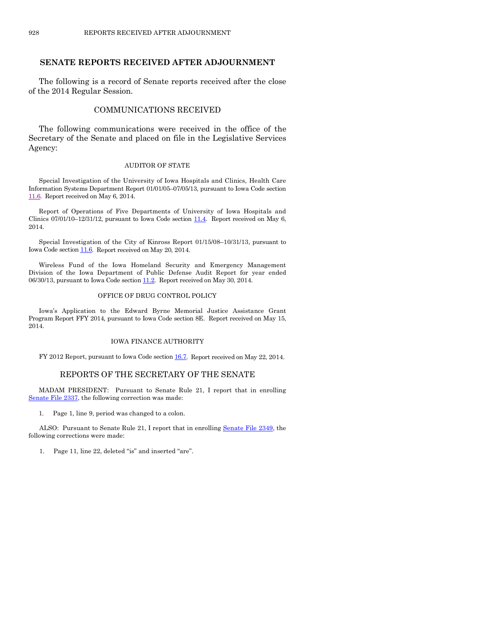# **SENATE REPORTS RECEIVED AFTER ADJOURNMENT**

The following is a record of Senate reports received after the close of the 2014 Regular Session.

# COMMUNICATIONS RECEIVED

The following communications were received in the office of the Secretary of the Senate and placed on file in the Legislative Services Agency:

#### AUDITOR OF STATE

Special Investigation of the University of Iowa Hospitals and Clinics, Health Care Information Systems Department Report 01/01/05–07/05/13, pursuant to Iowa Code section [11.6.](https://www.legis.iowa.gov/DOCS/ACO/IC/LINC/Section.11.6.pdf) Report received on May 6, 2014.

Report of Operations of Five Departments of University of Iowa Hospitals and Clinics  $07/01/10-12/31/12$ , pursuant to Iowa Code section  $11.4$ . Report received on May 6, 2014.

Special Investigation of the City of Kinross Report 01/15/08–10/31/13, pursuant to Iowa Code sectio[n 11.6.](https://www.legis.iowa.gov/DOCS/ACO/IC/LINC/Section.11.6.pdf) Report received on May 20, 2014.

Wireless Fund of the Iowa Homeland Security and Emergency Management Division of the Iowa Department of Public Defense Audit Report for year ended 06/30/13, pursuant to Iowa Code section  $11.2$ . Report received on May 30, 2014.

#### OFFICE OF DRUG CONTROL POLICY

Iowa's Application to the Edward Byrne Memorial Justice Assistance Grant Program Report FFY 2014, pursuant to Iowa Code section 8E. Report received on May 15, 2014.

### IOWA FINANCE AUTHORITY

FY 2012 Report, pursuant to Iowa Code sectio[n 16.7.](https://www.legis.iowa.gov/DOCS/ACO/IC/LINC/Section.16.7.pdf) Report received on May 22, 2014.

## REPORTS OF THE SECRETARY OF THE SENATE

MADAM PRESIDENT: Pursuant to Senate Rule 21, I report that in enrolling [Senate File 2337,](http://coolice.legis.iowa.gov/Cool-ICE/default.asp?Category=billinfo&Service=Billbook&frame=1&GA=85&hbill=SF2337) the following correction was made:

1. Page 1, line 9, period was changed to a colon.

ALSO: Pursuant to Senate Rule 21, I report that in enrolling [Senate File 2349,](http://coolice.legis.iowa.gov/Cool-ICE/default.asp?Category=billinfo&Service=Billbook&frame=1&GA=85&hbill=SF2349) the following corrections were made:

1. Page 11, line 22, deleted "is" and inserted "are".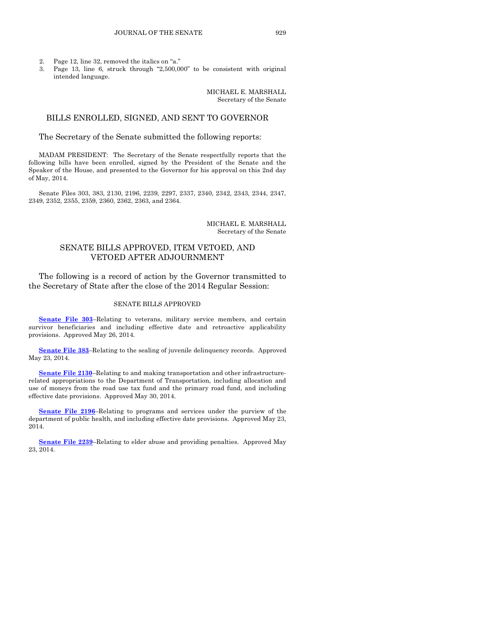- 2. Page 12, line 32, removed the italics on "a."
- 3. Page 13, line 6, struck through "2,500,000" to be consistent with original intended language.

MICHAEL E. MARSHALL Secretary of the Senate

## BILLS ENROLLED, SIGNED, AND SENT TO GOVERNOR

### The Secretary of the Senate submitted the following reports:

MADAM PRESIDENT: The Secretary of the Senate respectfully reports that the following bills have been enrolled, signed by the President of the Senate and the Speaker of the House, and presented to the Governor for his approval on this 2nd day of May, 2014.

Senate Files 303, 383, 2130, 2196, 2239, 2297, 2337, 2340, 2342, 2343, 2344, 2347, 2349, 2352, 2355, 2359, 2360, 2362, 2363, and 2364.

> MICHAEL E. MARSHALL Secretary of the Senate

# SENATE BILLS APPROVED, ITEM VETOED, AND VETOED AFTER ADJOURNMENT

The following is a record of action by the Governor transmitted to the Secretary of State after the close of the 2014 Regular Session:

#### SENATE BILLS APPROVED

**[Senate File 303](http://coolice.legis.iowa.gov/Cool-ICE/default.asp?Category=billinfo&Service=Billbook&frame=1&GA=85&hbill=SF303)**–Relating to veterans, military service members, and certain survivor beneficiaries and including effective date and retroactive applicability provisions. Approved May 26, 2014.

**[Senate File 383](http://coolice.legis.iowa.gov/Cool-ICE/default.asp?Category=billinfo&Service=Billbook&frame=1&GA=85&hbill=SF383)**–Relating to the sealing of juvenile delinquency records. Approved May 23, 2014.

**[Senate File 2130](http://coolice.legis.iowa.gov/Cool-ICE/default.asp?Category=billinfo&Service=Billbook&frame=1&GA=85&hbill=SF2130)**–Relating to and making transportation and other infrastructurerelated appropriations to the Department of Transportation, including allocation and use of moneys from the road use tax fund and the primary road fund, and including effective date provisions. Approved May 30, 2014.

**[Senate File 2196](http://coolice.legis.iowa.gov/Cool-ICE/default.asp?Category=billinfo&Service=Billbook&frame=1&GA=85&hbill=SF2196)**–Relating to programs and services under the purview of the department of public health, and including effective date provisions. Approved May 23, 2014.

**[Senate File 2239](http://coolice.legis.iowa.gov/Cool-ICE/default.asp?Category=billinfo&Service=Billbook&frame=1&GA=85&hbill=SF2239)**–Relating to elder abuse and providing penalties. Approved May 23, 2014.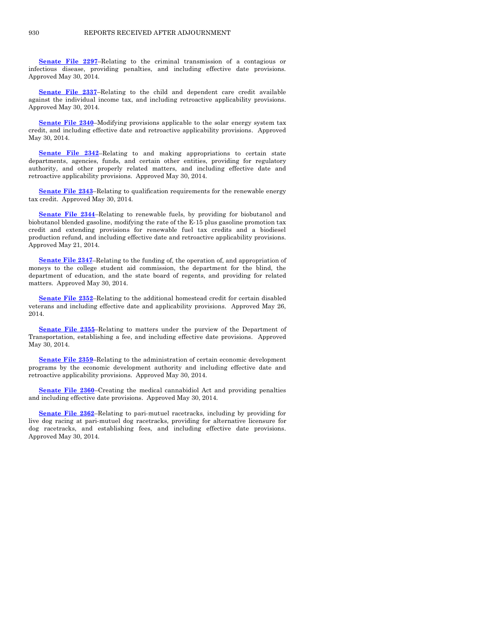**[Senate File 2297](http://coolice.legis.iowa.gov/Cool-ICE/default.asp?Category=billinfo&Service=Billbook&frame=1&GA=85&hbill=SF2297)**–Relating to the criminal transmission of a contagious or infectious disease, providing penalties, and including effective date provisions. Approved May 30, 2014.

**[Senate File 2337](http://coolice.legis.iowa.gov/Cool-ICE/default.asp?Category=billinfo&Service=Billbook&frame=1&GA=85&hbill=SF2337)**–Relating to the child and dependent care credit available against the individual income tax, and including retroactive applicability provisions. Approved May 30, 2014.

**[Senate File 2340](http://coolice.legis.iowa.gov/Cool-ICE/default.asp?Category=billinfo&Service=Billbook&frame=1&GA=85&hbill=SF2340)**–Modifying provisions applicable to the solar energy system tax credit, and including effective date and retroactive applicability provisions. Approved May 30, 2014.

**[Senate File 2342](http://coolice.legis.iowa.gov/Cool-ICE/default.asp?Category=billinfo&Service=Billbook&frame=1&GA=85&hbill=SF2342)**–Relating to and making appropriations to certain state departments, agencies, funds, and certain other entities, providing for regulatory authority, and other properly related matters, and including effective date and retroactive applicability provisions. Approved May 30, 2014.

**[Senate File 2343](http://coolice.legis.iowa.gov/Cool-ICE/default.asp?Category=billinfo&Service=Billbook&frame=1&GA=85&hbill=SF2343)**–Relating to qualification requirements for the renewable energy tax credit. Approved May 30, 2014.

**[Senate File 2344](http://coolice.legis.iowa.gov/Cool-ICE/default.asp?Category=billinfo&Service=Billbook&frame=1&GA=85&hbill=SF2344)**–Relating to renewable fuels, by providing for biobutanol and biobutanol blended gasoline, modifying the rate of the E-15 plus gasoline promotion tax credit and extending provisions for renewable fuel tax credits and a biodiesel production refund, and including effective date and retroactive applicability provisions. Approved May 21, 2014.

**[Senate File 2347](http://coolice.legis.iowa.gov/Cool-ICE/default.asp?Category=billinfo&Service=Billbook&frame=1&GA=85&hbill=SF2347)**–Relating to the funding of, the operation of, and appropriation of moneys to the college student aid commission, the department for the blind, the department of education, and the state board of regents, and providing for related matters. Approved May 30, 2014.

**[Senate File 2352](http://coolice.legis.iowa.gov/Cool-ICE/default.asp?Category=billinfo&Service=Billbook&frame=1&GA=85&hbill=SF2352)**–Relating to the additional homestead credit for certain disabled veterans and including effective date and applicability provisions. Approved May 26, 2014.

**[Senate File 2355](http://coolice.legis.iowa.gov/Cool-ICE/default.asp?Category=billinfo&Service=Billbook&frame=1&GA=85&hbill=SF2355)**–Relating to matters under the purview of the Department of Transportation, establishing a fee, and including effective date provisions. Approved May 30, 2014.

**[Senate File 2359](http://coolice.legis.iowa.gov/Cool-ICE/default.asp?Category=billinfo&Service=Billbook&frame=1&GA=85&hbill=SF2359)**–Relating to the administration of certain economic development programs by the economic development authority and including effective date and retroactive applicability provisions. Approved May 30, 2014.

**[Senate File 2360](http://coolice.legis.iowa.gov/Cool-ICE/default.asp?Category=billinfo&Service=Billbook&frame=1&GA=85&hbill=SF2360)**–Creating the medical cannabidiol Act and providing penalties and including effective date provisions. Approved May 30, 2014.

**[Senate File 2362](http://coolice.legis.iowa.gov/Cool-ICE/default.asp?Category=billinfo&Service=Billbook&frame=1&GA=85&hbill=SF2362)**–Relating to pari-mutuel racetracks, including by providing for live dog racing at pari-mutuel dog racetracks, providing for alternative licensure for dog racetracks, and establishing fees, and including effective date provisions. Approved May 30, 2014.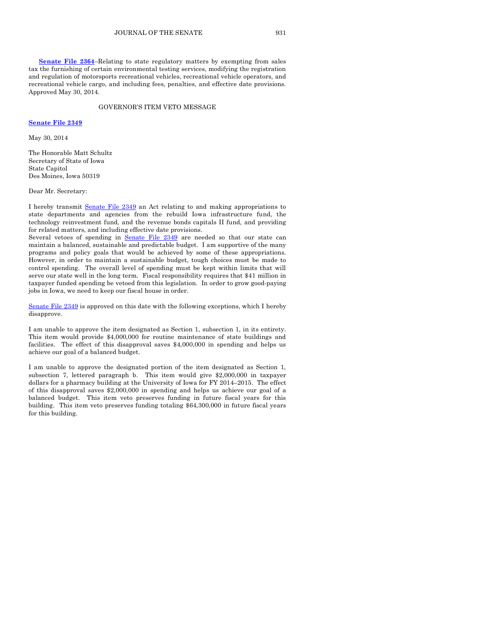**[Senate File 2364](http://coolice.legis.iowa.gov/Cool-ICE/default.asp?Category=billinfo&Service=Billbook&frame=1&GA=85&hbill=SF2364)**–Relating to state regulatory matters by exempting from sales tax the furnishing of certain environmental testing services, modifying the registration and regulation of motorsports recreational vehicles, recreational vehicle operators, and recreational vehicle cargo, and including fees, penalties, and effective date provisions. Approved May 30, 2014.

#### GOVERNOR'S ITEM VETO MESSAGE

### **[Senate File 2349](http://coolice.legis.iowa.gov/Cool-ICE/default.asp?Category=billinfo&Service=Billbook&frame=1&GA=85&hbill=SF2349)**

May 30, 2014

The Honorable Matt Schultz Secretary of State of Iowa State Capitol Des Moines, Iowa 50319

Dear Mr. Secretary:

I hereby transmit [Senate File 2349](http://coolice.legis.iowa.gov/Cool-ICE/default.asp?Category=billinfo&Service=Billbook&frame=1&GA=85&hbill=SF2349) an Act relating to and making appropriations to state departments and agencies from the rebuild Iowa infrastructure fund, the technology reinvestment fund, and the revenue bonds capitals II fund, and providing for related matters, and including effective date provisions.

Several vetoes of spending in [Senate File 2349](http://coolice.legis.iowa.gov/Cool-ICE/default.asp?Category=billinfo&Service=Billbook&frame=1&GA=85&hbill=SF2349) are needed so that our state can maintain a balanced, sustainable and predictable budget. I am supportive of the many programs and policy goals that would be achieved by some of these appropriations. However, in order to maintain a sustainable budget, tough choices must be made to control spending. The overall level of spending must be kept within limits that will serve our state well in the long term. Fiscal responsibility requires that \$41 million in taxpayer funded spending be vetoed from this legislation. In order to grow good-paying jobs in Iowa, we need to keep our fiscal house in order.

[Senate File 2349](http://coolice.legis.iowa.gov/Cool-ICE/default.asp?Category=billinfo&Service=Billbook&frame=1&GA=85&hbill=SF2349) is approved on this date with the following exceptions, which I hereby disapprove.

I am unable to approve the item designated as Section 1, subsection 1, in its entirety. This item would provide \$4,000,000 for routine maintenance of state buildings and facilities. The effect of this disapproval saves \$4,000,000 in spending and helps us achieve our goal of a balanced budget.

I am unable to approve the designated portion of the item designated as Section 1, subsection 7, lettered paragraph b. This item would give \$2,000,000 in taxpayer dollars for a pharmacy building at the University of Iowa for FY 2014–2015. The effect of this disapproval saves \$2,000,000 in spending and helps us achieve our goal of a balanced budget. This item veto preserves funding in future fiscal years for this building. This item veto preserves funding totaling \$64,300,000 in future fiscal years for this building.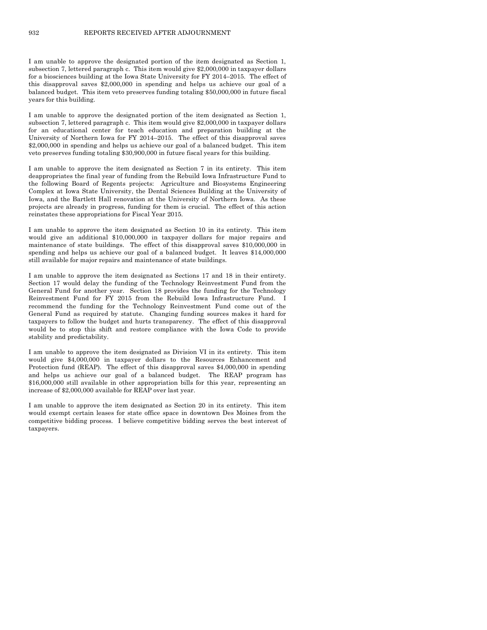I am unable to approve the designated portion of the item designated as Section 1, subsection 7, lettered paragraph c. This item would give \$2,000,000 in taxpayer dollars for a biosciences building at the Iowa State University for FY 2014–2015. The effect of this disapproval saves \$2,000,000 in spending and helps us achieve our goal of a balanced budget. This item veto preserves funding totaling \$50,000,000 in future fiscal years for this building.

I am unable to approve the designated portion of the item designated as Section 1, subsection 7, lettered paragraph c. This item would give \$2,000,000 in taxpayer dollars for an educational center for teach education and preparation building at the University of Northern Iowa for FY 2014–2015. The effect of this disapproval saves \$2,000,000 in spending and helps us achieve our goal of a balanced budget. This item veto preserves funding totaling \$30,900,000 in future fiscal years for this building.

I am unable to approve the item designated as Section 7 in its entirety. This item deappropriates the final year of funding from the Rebuild Iowa Infrastructure Fund to the following Board of Regents projects: Agriculture and Biosystems Engineering Complex at Iowa State University, the Dental Sciences Building at the University of Iowa, and the Bartlett Hall renovation at the University of Northern Iowa. As these projects are already in progress, funding for them is crucial. The effect of this action reinstates these appropriations for Fiscal Year 2015.

I am unable to approve the item designated as Section 10 in its entirety. This item would give an additional \$10,000,000 in taxpayer dollars for major repairs and maintenance of state buildings. The effect of this disapproval saves \$10,000,000 in spending and helps us achieve our goal of a balanced budget. It leaves \$14,000,000 still available for major repairs and maintenance of state buildings.

I am unable to approve the item designated as Sections 17 and 18 in their entirety. Section 17 would delay the funding of the Technology Reinvestment Fund from the General Fund for another year. Section 18 provides the funding for the Technology Reinvestment Fund for FY 2015 from the Rebuild Iowa Infrastructure Fund. I recommend the funding for the Technology Reinvestment Fund come out of the General Fund as required by statute. Changing funding sources makes it hard for taxpayers to follow the budget and hurts transparency. The effect of this disapproval would be to stop this shift and restore compliance with the Iowa Code to provide stability and predictability.

I am unable to approve the item designated as Division VI in its entirety. This item would give \$4,000,000 in taxpayer dollars to the Resources Enhancement and Protection fund (REAP). The effect of this disapproval saves \$4,000,000 in spending and helps us achieve our goal of a balanced budget. The REAP program has \$16,000,000 still available in other appropriation bills for this year, representing an increase of \$2,000,000 available for REAP over last year.

I am unable to approve the item designated as Section 20 in its entirety. This item would exempt certain leases for state office space in downtown Des Moines from the competitive bidding process. I believe competitive bidding serves the best interest of taxpayers.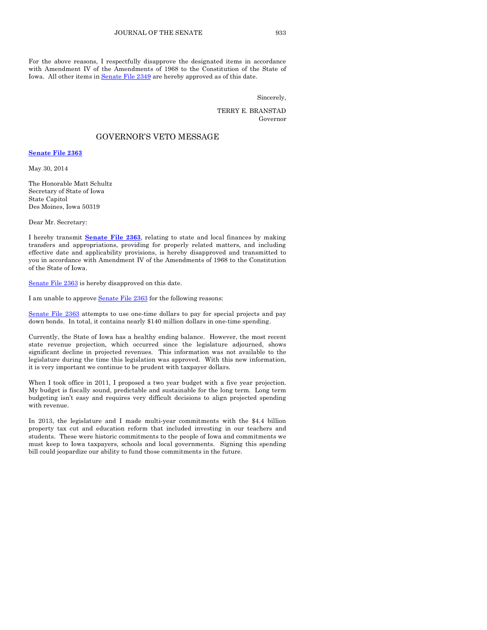For the above reasons, I respectfully disapprove the designated items in accordance with Amendment IV of the Amendments of 1968 to the Constitution of the State of Iowa. All other items i[n Senate File 2349](http://coolice.legis.iowa.gov/Cool-ICE/default.asp?Category=billinfo&Service=Billbook&frame=1&GA=85&hbill=SF2349) are hereby approved as of this date.

Sincerely,

TERRY E. BRANSTAD Governor

### GOVERNOR'S VETO MESSAGE

**[Senate File 2363](http://coolice.legis.iowa.gov/Cool-ICE/default.asp?Category=billinfo&Service=Billbook&frame=1&GA=85&hbill=SF2363)**

May 30, 2014

The Honorable Matt Schultz Secretary of State of Iowa State Capitol Des Moines, Iowa 50319

Dear Mr. Secretary:

I hereby transmit **[Senate File 2363](http://coolice.legis.iowa.gov/Cool-ICE/default.asp?Category=billinfo&Service=Billbook&frame=1&GA=85&hbill=SF2363)**, relating to state and local finances by making transfers and appropriations, providing for properly related matters, and including effective date and applicability provisions, is hereby disapproved and transmitted to you in accordance with Amendment IV of the Amendments of 1968 to the Constitution of the State of Iowa.

[Senate File 2363](http://coolice.legis.iowa.gov/Cool-ICE/default.asp?Category=billinfo&Service=Billbook&frame=1&GA=85&hbill=SF2363) is hereby disapproved on this date.

I am unable to approv[e Senate File 2363](http://coolice.legis.iowa.gov/Cool-ICE/default.asp?Category=billinfo&Service=Billbook&frame=1&GA=85&hbill=SF2363) for the following reasons:

[Senate File 2363](http://coolice.legis.iowa.gov/Cool-ICE/default.asp?Category=billinfo&Service=Billbook&frame=1&GA=85&hbill=SF2363) attempts to use one-time dollars to pay for special projects and pay down bonds. In total, it contains nearly \$140 million dollars in one-time spending.

Currently, the State of Iowa has a healthy ending balance. However, the most recent state revenue projection, which occurred since the legislature adjourned, shows significant decline in projected revenues. This information was not available to the legislature during the time this legislation was approved. With this new information, it is very important we continue to be prudent with taxpayer dollars.

When I took office in 2011, I proposed a two year budget with a five year projection. My budget is fiscally sound, predictable and sustainable for the long term. Long term budgeting isn't easy and requires very difficult decisions to align projected spending with revenue.

In 2013, the legislature and I made multi-year commitments with the \$4.4 billion property tax cut and education reform that included investing in our teachers and students. These were historic commitments to the people of Iowa and commitments we must keep to Iowa taxpayers, schools and local governments. Signing this spending bill could jeopardize our ability to fund those commitments in the future.